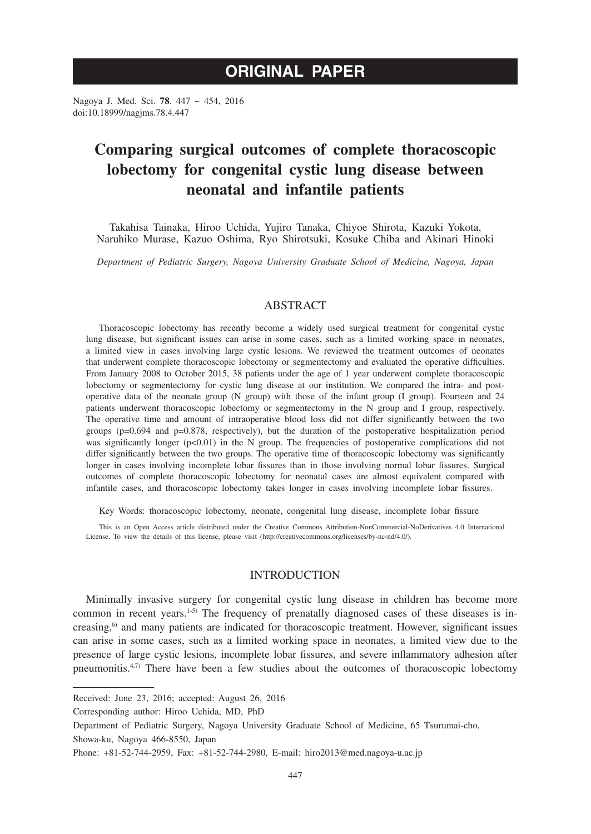# **ORIGINAL PAPER**

Nagoya J. Med. Sci. **78**. 447 ~ 454, 2016 doi:10.18999/nagjms.78.4.447

# **Comparing surgical outcomes of complete thoracoscopic lobectomy for congenital cystic lung disease between neonatal and infantile patients**

Takahisa Tainaka, Hiroo Uchida, Yujiro Tanaka, Chiyoe Shirota, Kazuki Yokota, Naruhiko Murase, Kazuo Oshima, Ryo Shirotsuki, Kosuke Chiba and Akinari Hinoki

*Department of Pediatric Surgery, Nagoya University Graduate School of Medicine, Nagoya, Japan*

# ABSTRACT

Thoracoscopic lobectomy has recently become a widely used surgical treatment for congenital cystic lung disease, but significant issues can arise in some cases, such as a limited working space in neonates, a limited view in cases involving large cystic lesions. We reviewed the treatment outcomes of neonates that underwent complete thoracoscopic lobectomy or segmentectomy and evaluated the operative difficulties. From January 2008 to October 2015, 38 patients under the age of 1 year underwent complete thoracoscopic lobectomy or segmentectomy for cystic lung disease at our institution. We compared the intra- and postoperative data of the neonate group (N group) with those of the infant group (I group). Fourteen and 24 patients underwent thoracoscopic lobectomy or segmentectomy in the N group and I group, respectively. The operative time and amount of intraoperative blood loss did not differ significantly between the two groups (p=0.694 and p=0.878, respectively), but the duration of the postoperative hospitalization period was significantly longer  $(p<0.01)$  in the N group. The frequencies of postoperative complications did not differ significantly between the two groups. The operative time of thoracoscopic lobectomy was significantly longer in cases involving incomplete lobar fissures than in those involving normal lobar fissures. Surgical outcomes of complete thoracoscopic lobectomy for neonatal cases are almost equivalent compared with infantile cases, and thoracoscopic lobectomy takes longer in cases involving incomplete lobar fissures.

Key Words: thoracoscopic lobectomy, neonate, congenital lung disease, incomplete lobar fissure

This is an Open Access article distributed under the Creative Commons Attribution-NonCommercial-NoDerivatives 4.0 International License. To view the details of this license, please visit (http://creativecommons.org/licenses/by-nc-nd/4.0/).

## INTRODUCTION

Minimally invasive surgery for congenital cystic lung disease in children has become more common in recent years.<sup>1-5)</sup> The frequency of prenatally diagnosed cases of these diseases is increasing,<sup>6)</sup> and many patients are indicated for thoracoscopic treatment. However, significant issues can arise in some cases, such as a limited working space in neonates, a limited view due to the presence of large cystic lesions, incomplete lobar fissures, and severe inflammatory adhesion after pneumonitis. $4,7$  There have been a few studies about the outcomes of thoracoscopic lobectomy

Received: June 23, 2016; accepted: August 26, 2016

Corresponding author: Hiroo Uchida, MD, PhD

Department of Pediatric Surgery, Nagoya University Graduate School of Medicine, 65 Tsurumai-cho, Showa-ku, Nagoya 466-8550, Japan

Phone: +81-52-744-2959, Fax: +81-52-744-2980, E-mail: hiro2013@med.nagoya-u.ac.jp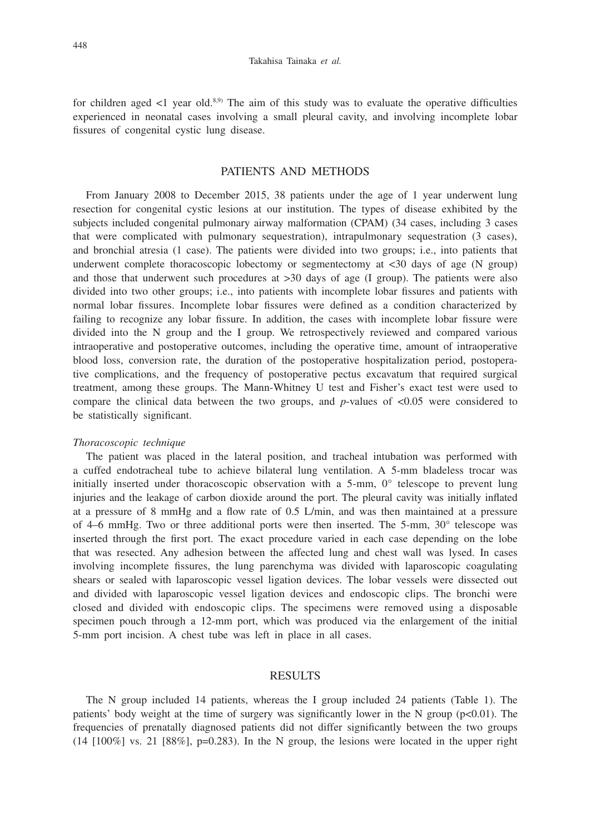for children aged  $\leq 1$  year old.<sup>8,9)</sup> The aim of this study was to evaluate the operative difficulties experienced in neonatal cases involving a small pleural cavity, and involving incomplete lobar fissures of congenital cystic lung disease.

# PATIENTS AND METHODS

From January 2008 to December 2015, 38 patients under the age of 1 year underwent lung resection for congenital cystic lesions at our institution. The types of disease exhibited by the subjects included congenital pulmonary airway malformation (CPAM) (34 cases, including 3 cases that were complicated with pulmonary sequestration), intrapulmonary sequestration (3 cases), and bronchial atresia (1 case). The patients were divided into two groups; i.e., into patients that underwent complete thoracoscopic lobectomy or segmentectomy at  $\langle 30 \rangle$  days of age (N group) and those that underwent such procedures at >30 days of age (I group). The patients were also divided into two other groups; i.e., into patients with incomplete lobar fissures and patients with normal lobar fissures. Incomplete lobar fissures were defined as a condition characterized by failing to recognize any lobar fissure. In addition, the cases with incomplete lobar fissure were divided into the N group and the I group. We retrospectively reviewed and compared various intraoperative and postoperative outcomes, including the operative time, amount of intraoperative blood loss, conversion rate, the duration of the postoperative hospitalization period, postoperative complications, and the frequency of postoperative pectus excavatum that required surgical treatment, among these groups. The Mann-Whitney U test and Fisher's exact test were used to compare the clinical data between the two groups, and *p*-values of <0.05 were considered to be statistically significant.

### *Thoracoscopic technique*

The patient was placed in the lateral position, and tracheal intubation was performed with a cuffed endotracheal tube to achieve bilateral lung ventilation. A 5-mm bladeless trocar was initially inserted under thoracoscopic observation with a 5-mm, 0° telescope to prevent lung injuries and the leakage of carbon dioxide around the port. The pleural cavity was initially inflated at a pressure of 8 mmHg and a flow rate of 0.5 L/min, and was then maintained at a pressure of 4–6 mmHg. Two or three additional ports were then inserted. The 5-mm, 30° telescope was inserted through the first port. The exact procedure varied in each case depending on the lobe that was resected. Any adhesion between the affected lung and chest wall was lysed. In cases involving incomplete fissures, the lung parenchyma was divided with laparoscopic coagulating shears or sealed with laparoscopic vessel ligation devices. The lobar vessels were dissected out and divided with laparoscopic vessel ligation devices and endoscopic clips. The bronchi were closed and divided with endoscopic clips. The specimens were removed using a disposable specimen pouch through a 12-mm port, which was produced via the enlargement of the initial 5-mm port incision. A chest tube was left in place in all cases.

# RESULTS

The N group included 14 patients, whereas the I group included 24 patients (Table 1). The patients' body weight at the time of surgery was significantly lower in the N group ( $p<0.01$ ). The frequencies of prenatally diagnosed patients did not differ significantly between the two groups  $(14 \t[100\%] \text{ vs. } 21 \t[88\%], p=0.283)$ . In the N group, the lesions were located in the upper right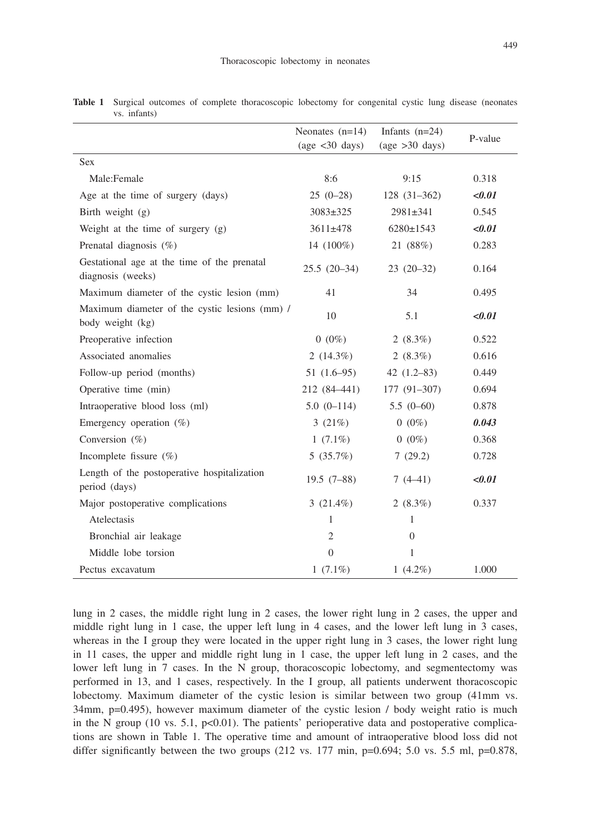|                                                                   | Neonates $(n=14)$<br>Infants $(n=24)$ | P-value                              |        |
|-------------------------------------------------------------------|---------------------------------------|--------------------------------------|--------|
|                                                                   | $\text{(age} < 30 \text{ days)}$      | $\frac{\text{age}}{\text{90}}$ days) |        |
| <b>Sex</b>                                                        |                                       |                                      |        |
| Male:Female                                                       | 8:6                                   | 9:15                                 | 0.318  |
| Age at the time of surgery (days)                                 | $25(0-28)$                            | $128(31-362)$                        | < 0.01 |
| Birth weight (g)                                                  | $3083 \pm 325$                        | $2981 \pm 341$                       | 0.545  |
| Weight at the time of surgery $(g)$                               | $3611 \pm 478$                        | $6280 \pm 1543$                      | < 0.01 |
| Prenatal diagnosis (%)                                            | 14 $(100\%)$                          | 21 (88%)                             | 0.283  |
| Gestational age at the time of the prenatal<br>diagnosis (weeks)  | $25.5(20-34)$                         | $23(20-32)$                          | 0.164  |
| Maximum diameter of the cystic lesion (mm)                        | 41                                    | 34                                   | 0.495  |
| Maximum diameter of the cystic lesions (mm) /<br>body weight (kg) | 10                                    | 5.1                                  | < 0.01 |
| Preoperative infection                                            | $0(0\%)$                              | 2 $(8.3\%)$                          | 0.522  |
| Associated anomalies                                              | $2(14.3\%)$                           | 2 $(8.3\%)$                          | 0.616  |
| Follow-up period (months)                                         | $51(1.6-95)$                          | $42(1.2-83)$                         | 0.449  |
| Operative time (min)                                              | 212 (84–441)                          | $177(91-307)$                        | 0.694  |
| Intraoperative blood loss (ml)                                    | $5.0(0-114)$                          | $5.5(0-60)$                          | 0.878  |
| Emergency operation $(\%)$                                        | 3 $(21%)$                             | $0(0\%)$                             | 0.043  |
| Conversion $(\%)$                                                 | $1(7.1\%)$                            | $0(0\%)$                             | 0.368  |
| Incomplete fissure $(\%)$                                         | 5(35.7%)                              | 7(29.2)                              | 0.728  |
| Length of the postoperative hospitalization<br>period (days)      | $19.5(7-88)$                          | $7(4-41)$                            | < 0.01 |
| Major postoperative complications                                 | $3(21.4\%)$                           | 2 $(8.3\%)$                          | 0.337  |
| Atelectasis                                                       | 1                                     | 1                                    |        |
| Bronchial air leakage                                             | $\overline{2}$                        | $\overline{0}$                       |        |
| Middle lobe torsion                                               | $\Omega$                              | 1                                    |        |
| Pectus excavatum                                                  | $1(7.1\%)$                            | 1 $(4.2\%)$                          | 1.000  |

**Table 1** Surgical outcomes of complete thoracoscopic lobectomy for congenital cystic lung disease (neonates vs. infants)

lung in 2 cases, the middle right lung in 2 cases, the lower right lung in 2 cases, the upper and middle right lung in 1 case, the upper left lung in 4 cases, and the lower left lung in 3 cases, whereas in the I group they were located in the upper right lung in 3 cases, the lower right lung in 11 cases, the upper and middle right lung in 1 case, the upper left lung in 2 cases, and the lower left lung in 7 cases. In the N group, thoracoscopic lobectomy, and segmentectomy was performed in 13, and 1 cases, respectively. In the I group, all patients underwent thoracoscopic lobectomy. Maximum diameter of the cystic lesion is similar between two group (41mm vs. 34mm, p=0.495), however maximum diameter of the cystic lesion / body weight ratio is much in the N group (10 vs. 5.1,  $p<0.01$ ). The patients' perioperative data and postoperative complications are shown in Table 1. The operative time and amount of intraoperative blood loss did not differ significantly between the two groups  $(212 \text{ vs. } 177 \text{ min}, \text{p=0.694}; 5.0 \text{ vs. } 5.5 \text{ ml}, \text{p=0.878},$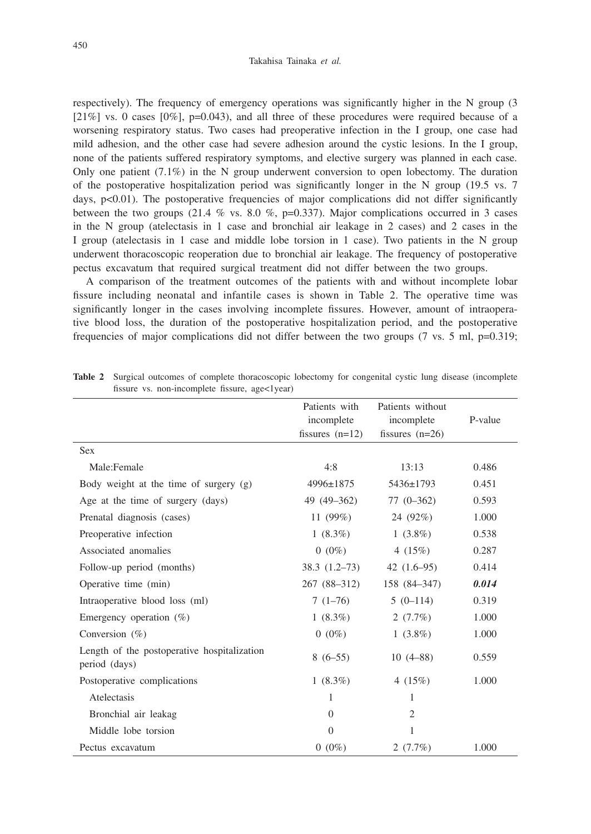respectively). The frequency of emergency operations was significantly higher in the N group (3  $[21\%]$  vs. 0 cases  $[0\%]$ , p=0.043), and all three of these procedures were required because of a worsening respiratory status. Two cases had preoperative infection in the I group, one case had mild adhesion, and the other case had severe adhesion around the cystic lesions. In the I group, none of the patients suffered respiratory symptoms, and elective surgery was planned in each case. Only one patient  $(7.1\%)$  in the N group underwent conversion to open lobectomy. The duration of the postoperative hospitalization period was significantly longer in the N group (19.5 vs. 7 days, p<0.01). The postoperative frequencies of major complications did not differ significantly between the two groups (21.4  $\%$  vs. 8.0  $\%$ , p=0.337). Major complications occurred in 3 cases in the N group (atelectasis in 1 case and bronchial air leakage in 2 cases) and 2 cases in the I group (atelectasis in 1 case and middle lobe torsion in 1 case). Two patients in the N group underwent thoracoscopic reoperation due to bronchial air leakage. The frequency of postoperative pectus excavatum that required surgical treatment did not differ between the two groups.

A comparison of the treatment outcomes of the patients with and without incomplete lobar fissure including neonatal and infantile cases is shown in Table 2. The operative time was significantly longer in the cases involving incomplete fissures. However, amount of intraoperative blood loss, the duration of the postoperative hospitalization period, and the postoperative frequencies of major complications did not differ between the two groups  $(7 \text{ vs. } 5 \text{ ml}, \text{p}=0.319)$ ;

|                                                              | Patients with     | Patients without             |         |
|--------------------------------------------------------------|-------------------|------------------------------|---------|
|                                                              | incomplete        | incomplete                   | P-value |
|                                                              | fissures $(n=12)$ | fissures $(n=26)$            |         |
| <b>Sex</b>                                                   |                   |                              |         |
| Male:Female                                                  | 4:8               | 13:13                        | 0.486   |
| Body weight at the time of surgery (g)                       | 4996±1875         | $5436 \pm 1793$              | 0.451   |
| Age at the time of surgery (days)                            | 49 (49–362)       | $77(0-362)$                  | 0.593   |
| Prenatal diagnosis (cases)                                   | 11 $(99\%)$       | 24 (92%)                     | 1.000   |
| Preoperative infection                                       | $1(8.3\%)$        | $1(3.8\%)$                   | 0.538   |
| Associated anomalies                                         | $0(0\%)$          | 4 $(15%)$                    | 0.287   |
| Follow-up period (months)                                    |                   | $38.3(1.2-73)$ 42 $(1.6-95)$ | 0.414   |
| Operative time (min)                                         | 267 (88–312)      | 158 (84–347)                 | 0.014   |
| Intraoperative blood loss (ml)                               | $7(1-76)$         | $5(0-114)$                   | 0.319   |
| Emergency operation $(\%)$                                   | $1(8.3\%)$        | 2 $(7.7\%)$                  | 1.000   |
| Conversion $(\%)$                                            | $0(0\%)$          | $1(3.8\%)$                   | 1.000   |
| Length of the postoperative hospitalization<br>period (days) | $8(6-55)$         | $10(4-88)$                   | 0.559   |
| Postoperative complications                                  | 1 $(8.3\%)$       | 4 $(15%)$                    | 1.000   |
| Atelectasis                                                  | 1                 | 1                            |         |
| Bronchial air leakag                                         | $\Omega$          | 2                            |         |
| Middle lobe torsion                                          | $\theta$          | 1                            |         |
| Pectus excavatum                                             | $0(0\%)$          | 2(7.7%)                      | 1.000   |

**Table 2** Surgical outcomes of complete thoracoscopic lobectomy for congenital cystic lung disease (incomplete fissure vs. non-incomplete fissure, age<1year)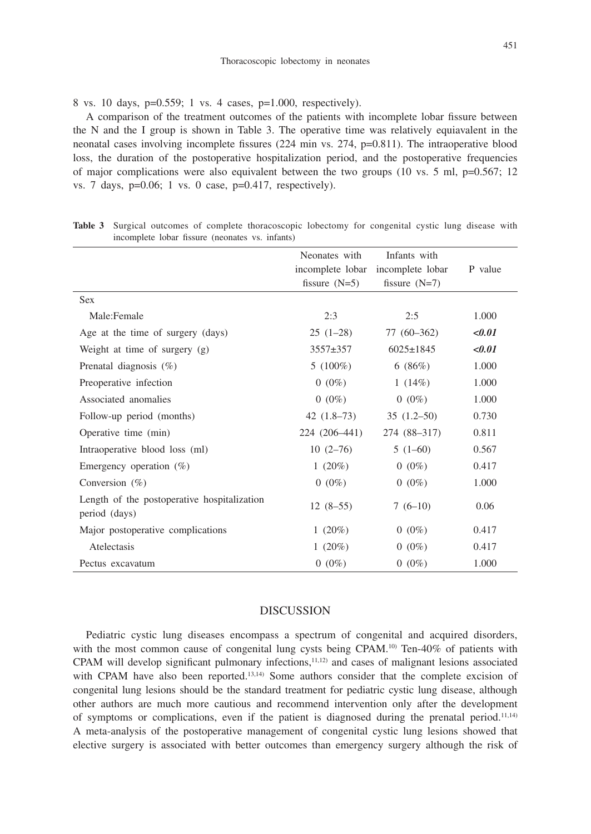8 vs. 10 days, p=0.559; 1 vs. 4 cases, p=1.000, respectively).

A comparison of the treatment outcomes of the patients with incomplete lobar fissure between the N and the I group is shown in Table 3. The operative time was relatively equiavalent in the neonatal cases involving incomplete fissures (224 min vs. 274, p=0.811). The intraoperative blood loss, the duration of the postoperative hospitalization period, and the postoperative frequencies of major complications were also equivalent between the two groups (10 vs. 5 ml,  $p=0.567$ ; 12 vs. 7 days,  $p=0.06$ ; 1 vs. 0 case,  $p=0.417$ , respectively).

|                                                              | Neonates with<br>incomplete lobar<br>fissure $(N=5)$ | Infants with<br>incomplete lobar<br>fissure $(N=7)$ | P value |
|--------------------------------------------------------------|------------------------------------------------------|-----------------------------------------------------|---------|
| <b>Sex</b>                                                   |                                                      |                                                     |         |
| Male:Female                                                  | 2:3                                                  | 2:5                                                 | 1.000   |
| Age at the time of surgery (days)                            | $25(1-28)$                                           | $77(60-362)$                                        | < 0.01  |
| Weight at time of surgery (g)                                | $3557 + 357$                                         | $6025 \pm 1845$                                     | < 0.01  |
| Prenatal diagnosis $(\%)$                                    | $5(100\%)$                                           | 6(86%)                                              | 1.000   |
| Preoperative infection                                       | $0(0\%)$                                             | 1 $(14%)$                                           | 1.000   |
| Associated anomalies                                         | $0(0\%)$                                             | $0(0\%)$                                            | 1.000   |
| Follow-up period (months)                                    | $42(1.8-73)$                                         | $35(1.2-50)$                                        | 0.730   |
| Operative time (min)                                         | 224 (206-441)                                        | 274 (88–317)                                        | 0.811   |
| Intraoperative blood loss (ml)                               | $10(2 - 76)$                                         | $5(1-60)$                                           | 0.567   |
| Emergency operation $(\%)$                                   | 1 $(20\%)$                                           | $0(0\%)$                                            | 0.417   |
| Conversion $(\%)$                                            | $0(0\%)$                                             | $0(0\%)$                                            | 1.000   |
| Length of the postoperative hospitalization<br>period (days) | $12(8-55)$                                           | $7(6-10)$                                           | 0.06    |
| Major postoperative complications                            | 1 $(20\%)$                                           | $0(0\%)$                                            | 0.417   |
| Atelectasis                                                  | 1 $(20\%)$                                           | $0(0\%)$                                            | 0.417   |
| Pectus excavatum                                             | $0(0\%)$                                             | $0(0\%)$                                            | 1.000   |

**Table 3** Surgical outcomes of complete thoracoscopic lobectomy for congenital cystic lung disease with incomplete lobar fissure (neonates vs. infants)

# DISCUSSION

Pediatric cystic lung diseases encompass a spectrum of congenital and acquired disorders, with the most common cause of congenital lung cysts being CPAM.<sup>10)</sup> Ten-40% of patients with CPAM will develop significant pulmonary infections,<sup>11,12)</sup> and cases of malignant lesions associated with CPAM have also been reported.<sup>13,14)</sup> Some authors consider that the complete excision of congenital lung lesions should be the standard treatment for pediatric cystic lung disease, although other authors are much more cautious and recommend intervention only after the development of symptoms or complications, even if the patient is diagnosed during the prenatal period.<sup>11,14)</sup> A meta-analysis of the postoperative management of congenital cystic lung lesions showed that elective surgery is associated with better outcomes than emergency surgery although the risk of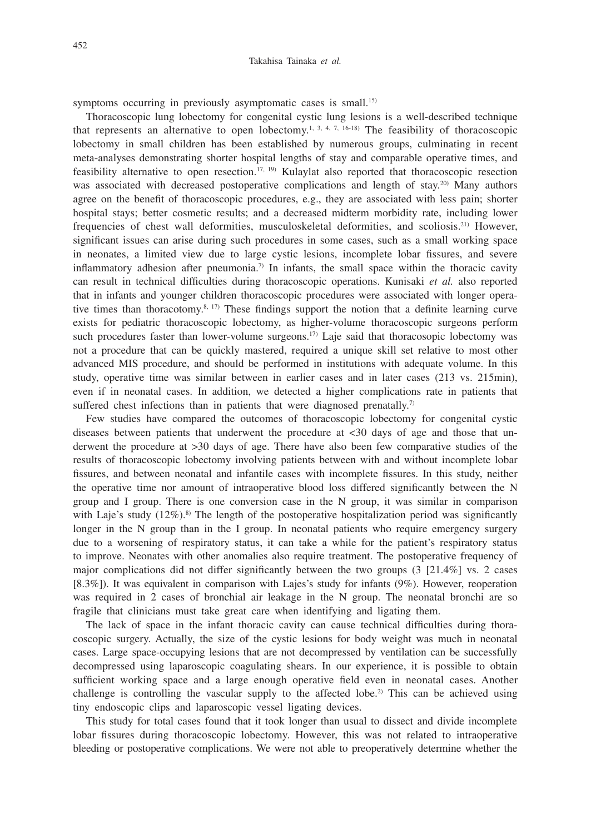### Takahisa Tainaka *et al.*

symptoms occurring in previously asymptomatic cases is small.<sup>15)</sup>

Thoracoscopic lung lobectomy for congenital cystic lung lesions is a well-described technique that represents an alternative to open lobectomy.<sup>1, 3, 4, 7, 16-18)</sup> The feasibility of thoracoscopic lobectomy in small children has been established by numerous groups, culminating in recent meta-analyses demonstrating shorter hospital lengths of stay and comparable operative times, and feasibility alternative to open resection.<sup>17, 19)</sup> Kulaylat also reported that thoracoscopic resection was associated with decreased postoperative complications and length of stay.<sup>20)</sup> Many authors agree on the benefit of thoracoscopic procedures, e.g., they are associated with less pain; shorter hospital stays; better cosmetic results; and a decreased midterm morbidity rate, including lower frequencies of chest wall deformities, musculoskeletal deformities, and scoliosis.21) However, significant issues can arise during such procedures in some cases, such as a small working space in neonates, a limited view due to large cystic lesions, incomplete lobar fissures, and severe inflammatory adhesion after pneumonia.<sup>7)</sup> In infants, the small space within the thoracic cavity can result in technical difficulties during thoracoscopic operations. Kunisaki *et al.* also reported that in infants and younger children thoracoscopic procedures were associated with longer operative times than thoracotomy.<sup>8, 17)</sup> These findings support the notion that a definite learning curve exists for pediatric thoracoscopic lobectomy, as higher-volume thoracoscopic surgeons perform such procedures faster than lower-volume surgeons.<sup>17)</sup> Laje said that thoracosopic lobectomy was not a procedure that can be quickly mastered, required a unique skill set relative to most other advanced MIS procedure, and should be performed in institutions with adequate volume. In this study, operative time was similar between in earlier cases and in later cases (213 vs. 215min), even if in neonatal cases. In addition, we detected a higher complications rate in patients that suffered chest infections than in patients that were diagnosed prenatally.<sup>7)</sup>

Few studies have compared the outcomes of thoracoscopic lobectomy for congenital cystic diseases between patients that underwent the procedure at <30 days of age and those that underwent the procedure at >30 days of age. There have also been few comparative studies of the results of thoracoscopic lobectomy involving patients between with and without incomplete lobar fissures, and between neonatal and infantile cases with incomplete fissures. In this study, neither the operative time nor amount of intraoperative blood loss differed significantly between the N group and I group. There is one conversion case in the N group, it was similar in comparison with Laje's study  $(12\%)$ .<sup>8)</sup> The length of the postoperative hospitalization period was significantly longer in the N group than in the I group. In neonatal patients who require emergency surgery due to a worsening of respiratory status, it can take a while for the patient's respiratory status to improve. Neonates with other anomalies also require treatment. The postoperative frequency of major complications did not differ significantly between the two groups (3 [21.4%] vs. 2 cases [8.3%]). It was equivalent in comparison with Lajes's study for infants (9%). However, reoperation was required in 2 cases of bronchial air leakage in the N group. The neonatal bronchi are so fragile that clinicians must take great care when identifying and ligating them.

The lack of space in the infant thoracic cavity can cause technical difficulties during thoracoscopic surgery. Actually, the size of the cystic lesions for body weight was much in neonatal cases. Large space-occupying lesions that are not decompressed by ventilation can be successfully decompressed using laparoscopic coagulating shears. In our experience, it is possible to obtain sufficient working space and a large enough operative field even in neonatal cases. Another challenge is controlling the vascular supply to the affected lobe.<sup>2)</sup> This can be achieved using tiny endoscopic clips and laparoscopic vessel ligating devices.

This study for total cases found that it took longer than usual to dissect and divide incomplete lobar fissures during thoracoscopic lobectomy. However, this was not related to intraoperative bleeding or postoperative complications. We were not able to preoperatively determine whether the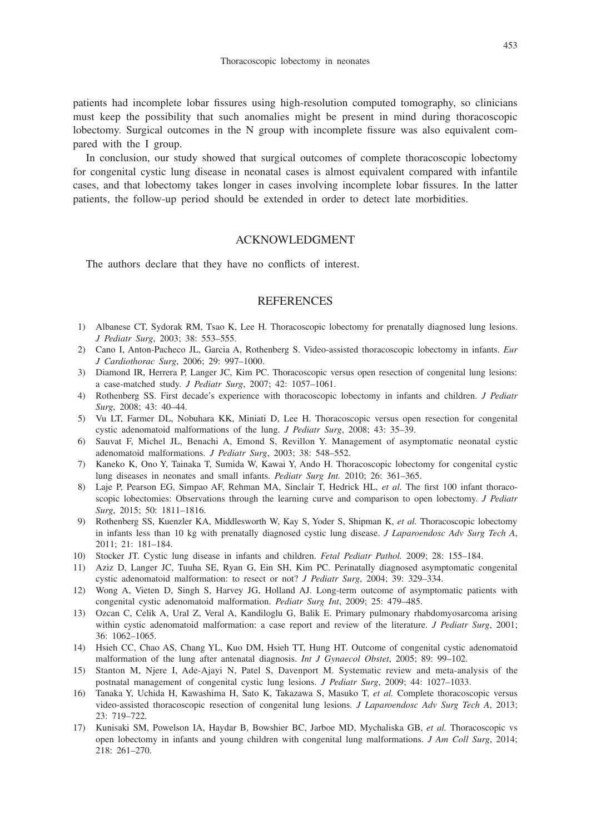patients had incomplete lobar fissures using high-resolution computed tomography, so clinicians must keep the possibility that such anomalies might be present in mind during thoracoscopic lobectomy. Surgical outcomes in the N group with incomplete fissure was also equivalent compared with the I group.

In conclusion, our study showed that surgical outcomes of complete thoracoscopic lobectomy for congenital cystic lung disease in neonatal cases is almost equivalent compared with infantile cases, and that lobectomy takes longer in cases involving incomplete lobar fissures. In the latter patients, the follow-up period should be extended in order to detect late morbidities.

# ACKNOWLEDGMENT

The authors declare that they have no conflicts of interest.

# **REFERENCES**

- 1) Albanese CT, Sydorak RM, Tsao K, Lee H. Thoracoscopic lobectomy for prenatally diagnosed lung lesions. *J Pediatr Surg*, 2003; 38: 553–555.
- 2) Cano I, Anton-Pacheco JL, Garcia A, Rothenberg S. Video-assisted thoracoscopic lobectomy in infants. *Eur J Cardiothorac Surg*, 2006; 29: 997–1000.
- 3) Diamond IR, Herrera P, Langer JC, Kim PC. Thoracoscopic versus open resection of congenital lung lesions: a case-matched study. *J Pediatr Surg*, 2007; 42: 1057–1061.
- 4) Rothenberg SS. First decade's experience with thoracoscopic lobectomy in infants and children. *J Pediatr Surg*, 2008; 43: 40–44.
- 5) Vu LT, Farmer DL, Nobuhara KK, Miniati D, Lee H. Thoracoscopic versus open resection for congenital cystic adenomatoid malformations of the lung. *J Pediatr Surg*, 2008; 43: 35–39.
- 6) Sauvat F, Michel JL, Benachi A, Emond S, Revillon Y. Management of asymptomatic neonatal cystic adenomatoid malformations. *J Pediatr Surg*, 2003; 38: 548–552.
- 7) Kaneko K, Ono Y, Tainaka T, Sumida W, Kawai Y, Ando H. Thoracoscopic lobectomy for congenital cystic lung diseases in neonates and small infants. *Pediatr Surg Int.* 2010; 26: 361–365.
- 8) Laje P, Pearson EG, Simpao AF, Rehman MA, Sinclair T, Hedrick HL, *et al.* The first 100 infant thoracoscopic lobectomies: Observations through the learning curve and comparison to open lobectomy. *J Pediatr Surg*, 2015; 50: 1811–1816.
- 9) Rothenberg SS, Kuenzler KA, Middlesworth W, Kay S, Yoder S, Shipman K, *et al.* Thoracoscopic lobectomy in infants less than 10 kg with prenatally diagnosed cystic lung disease. *J Laparoendosc Adv Surg Tech A*, 2011; 21: 181–184.
- 10) Stocker JT. Cystic lung disease in infants and children. *Fetal Pediatr Pathol.* 2009; 28: 155–184.
- 11) Aziz D, Langer JC, Tuuha SE, Ryan G, Ein SH, Kim PC. Perinatally diagnosed asymptomatic congenital cystic adenomatoid malformation: to resect or not? *J Pediatr Surg*, 2004; 39: 329–334.
- 12) Wong A, Vieten D, Singh S, Harvey JG, Holland AJ. Long-term outcome of asymptomatic patients with congenital cystic adenomatoid malformation. *Pediatr Surg Int*, 2009; 25: 479–485.
- 13) Ozcan C, Celik A, Ural Z, Veral A, Kandiloglu G, Balik E. Primary pulmonary rhabdomyosarcoma arising within cystic adenomatoid malformation: a case report and review of the literature. *J Pediatr Surg*, 2001; 36: 1062–1065.
- 14) Hsieh CC, Chao AS, Chang YL, Kuo DM, Hsieh TT, Hung HT. Outcome of congenital cystic adenomatoid malformation of the lung after antenatal diagnosis. *Int J Gynaecol Obstet*, 2005; 89: 99–102.
- 15) Stanton M, Njere I, Ade-Ajayi N, Patel S, Davenport M. Systematic review and meta-analysis of the postnatal management of congenital cystic lung lesions. *J Pediatr Surg*, 2009; 44: 1027–1033.
- 16) Tanaka Y, Uchida H, Kawashima H, Sato K, Takazawa S, Masuko T, *et al.* Complete thoracoscopic versus video-assisted thoracoscopic resection of congenital lung lesions. *J Laparoendosc Adv Surg Tech A*, 2013; 23: 719–722.
- 17) Kunisaki SM, Powelson IA, Haydar B, Bowshier BC, Jarboe MD, Mychaliska GB, *et al.* Thoracoscopic vs open lobectomy in infants and young children with congenital lung malformations. *J Am Coll Surg*, 2014; 218: 261–270.